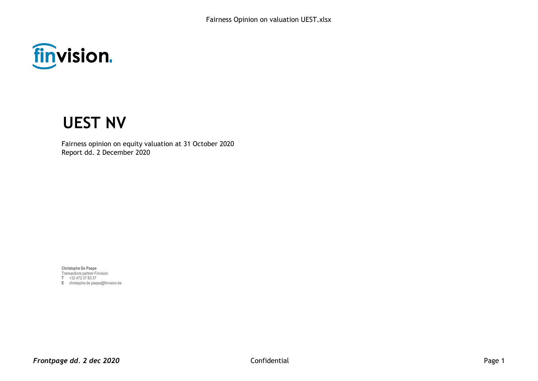

# **UEST NV**

Fairness opinion on equity valuation at 31 October 2020 Report dd. 2 December 2020

**Christophe De Paepe** Transactions partner Finvision **T** +32 472 37 83 37 **E** christophe.de.paepe@finvision.be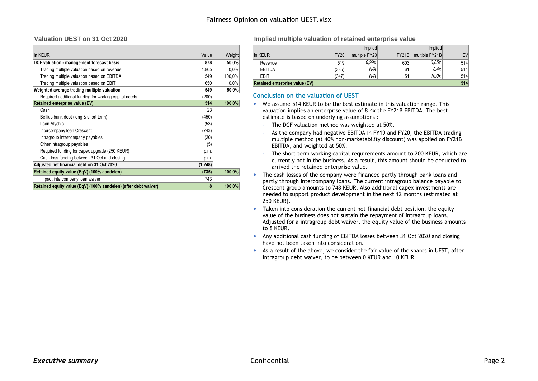| In KEUR                                                         | Value   | Weight |
|-----------------------------------------------------------------|---------|--------|
| DCF valuation - management forecast basis                       | 878     | 50,0%  |
| Trading multiple valuation based on revenue                     | 1.865   | 0.0%   |
| Trading multiple valuation based on EBITDA                      | 549     | 100,0% |
| Trading multiple valuation based on EBIT                        | 650     | 0.0%   |
| Weighted average trading multiple valuation                     | 549     | 50,0%  |
| Required additional funding for working capital needs           | (200)   |        |
| <b>Retained enterprise value (EV)</b>                           | 514     | 100,0% |
| Cash                                                            | 23      |        |
| Belfius bank debt (long & short term)                           | (450)   |        |
| Loan Alychlo                                                    | (53)    |        |
| Intercompany Ioan Crescent                                      | (743)   |        |
| Intragroup intercompany payables                                | (20)    |        |
| Other intragroup payables                                       | (5)     |        |
| Required funding for capex upgrade (250 KEUR)                   | p.m.    |        |
| Cash loss funding between 31 Oct and closing                    | p.m.    |        |
| Adjusted net financial debt on 31 Oct 2020                      | (1.248) |        |
| Retained equity value (EqV) (100% aandelen)                     | (735)   | 100,0% |
| Impact intercompany loan waiver                                 | 743     |        |
| Retained equity value (EqV) (100% aandelen) (after debt waiver) | 8       | 100.0% |

#### **Valuation UEST on 31 Oct 2020 Implied multiple valuation of retained enterprise value**

|                                             |       |          |                                       |             | Implied       |     | Implied              |           |
|---------------------------------------------|-------|----------|---------------------------------------|-------------|---------------|-----|----------------------|-----------|
| In KEUR                                     | Value | Weight   | In KEUR                               | <b>FY20</b> | multiple FY20 |     | FY21B multiple FY21B | <b>EV</b> |
| DCF valuation - management forecast basis   | 878   | $50.0\%$ | Revenue                               | 519         | 0.99x         | 603 | 0.85x                | 514       |
| Trading multiple valuation based on revenue | 1.865 | $0.0\%$  | <b>EBITDA</b>                         | (335)       | N/A           | 61  | 8.4x                 | 514       |
| Trading multiple valuation based on EBITDA  | 549   | 100.0%   | EBIT                                  | (347)       | N/A           |     | 10.0x                | 514       |
| Trading multiple valuation based on EBIT    | 650   | $0.0\%$  | <b>Retained enterprise value (EV)</b> |             |               |     |                      | 514       |

#### **Conclusion on the valuation of UEST**

- We assume 514 KEUR to be the best estimate in this valuation range. This valuation implies an enterprise value of 8,4x the FY21B EBITDA. The best estimate is based on underlying assumptions :
	- The DCF valuation method was weighted at 50%.
	- As the company had negative EBITDA in FY19 and FY20, the EBITDA trading multiple method (at 40% non-marketability discount) was applied on FY21B EBITDA, and weighted at 50%.
	- The short term working capital requirements amount to 200 KEUR, which are currently not in the business. As a result, this amount should be deducted to arrived the retained enterprise value.
- The cash losses of the company were financed partly through bank loans and partly through intercompany loans. The current intragroup balance payable to Crescent group amounts to 748 KEUR. Also additional capex investments are needed to support product development in the next 12 months (estimated at 250 KEUR).
- Taken into consideration the current net financial debt position, the equity value of the business does not sustain the repayment of intragroup loans. Adjusted for a intragroup debt waiver, the equity value of the business amounts to 8 KEUR.
- Any additional cash funding of EBITDA losses between 31 Oct 2020 and closing have not been taken into consideration.
- As a result of the above, we consider the fair value of the shares in UEST, after intragroup debt waiver, to be between 0 KEUR and 10 KEUR.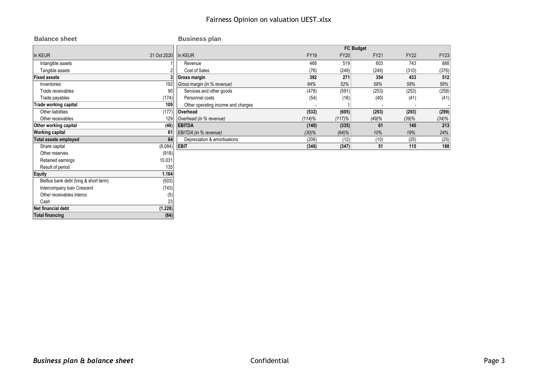| <b>Balance sheet</b>                  |             | <b>Business plan</b>               |             |                  |             |             |             |
|---------------------------------------|-------------|------------------------------------|-------------|------------------|-------------|-------------|-------------|
|                                       |             |                                    |             | <b>FC Budget</b> |             |             |             |
| In KEUR                               | 31 Oct 2020 | In KEUR                            | <b>FY19</b> | <b>FY20</b>      | <b>FY21</b> | <b>FY22</b> | <b>FY23</b> |
| Intangible assets                     |             | Revenue                            | 468         | 519              | 603         | 743         | 888         |
| Tangible assets                       |             | Cost of Sales                      | (76)        | (249)            | (249)       | (310)       | (376)       |
| <b>Fixed assets</b>                   |             | <b>Gross margin</b>                | 392         | 271              | 354         | 433         | 512         |
| Inventories                           | 192         | Gross margin (in % revenue)        | 84%         | 52%              | 59%         | 58%         | 58%         |
| Trade receivables                     | 90          | Services and other goods           | (478)       | (591)            | (253)       | (253)       | (258)       |
| Trade payables                        | (174)       | Personnel costs                    | (54)        | (16)             | (40)        | (41)        | (41)        |
| Trade working capital                 | 109         | Other operating income and charges |             |                  |             |             |             |
| Other liabilities                     | (177)       | Overhead                           | (532)       | (605)            | (293)       | (293)       | (299)       |
| Other receivables                     | 129         | Overhead (in % revenue)            | $(114)\%$   | $(117)\%$        | (49)%       | (39)%       | (34)%       |
| Other working capital                 | (48)        | <b>EBITDA</b>                      | (140)       | (335)            | 61          | 140         | 213         |
| <b>Working capital</b>                | 61          | EBITDA (in % revenue)              | $(30)\%$    | (64)%            | 10%         | 19%         | 24%         |
| <b>Total assets employed</b>          | 64          | Depreciation & amortisations       | (206)       | (12)             | (10)        | (25)        | (25)        |
| Share capital                         | (8.084)     | <b>EBIT</b>                        | (346)       | (347)            | 51          | 115         | 188         |
| Other reserves                        | (918)       |                                    |             |                  |             |             |             |
| Retained earnings                     | 10.031      |                                    |             |                  |             |             |             |
| Result of period                      | 135         |                                    |             |                  |             |             |             |
| Equity                                | 1.164       |                                    |             |                  |             |             |             |
| Belfius bank debt (long & short term) | (503)       |                                    |             |                  |             |             |             |
| Intercompany loan Crescent            | (743)       |                                    |             |                  |             |             |             |
| Other receivables interco             | (5)         |                                    |             |                  |             |             |             |
| Cash                                  | 23          |                                    |             |                  |             |             |             |
| Net financial debt                    | (1.228)     |                                    |             |                  |             |             |             |
| <b>Total financing</b>                | (64)        |                                    |             |                  |             |             |             |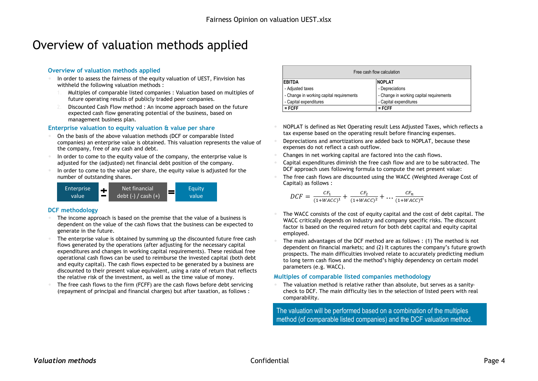## Overview of valuation methods applied

### **Overview of valuation methods applied**

- In order to assess the fairness of the equity valuation of UEST, Finvision has withheld the following valuation methods :
	- 1. Multiples of comparable listed companies : Valuation based on multiples of future operating results of publicly traded peer companies.
	- Discounted Cash Flow method : An income approach based on the future expected cash flow generating potential of the business, based on management business plan.

#### **Enterprise valuation to equity valuation & value per share**

- On the basis of the above valuation methods (DCF or comparable listed companies) an enterprise value is obtained. This valuation represents the value of the company, free of any cash and debt.
- In order to come to the equity value of the company, the enterprise value is adjusted for the (adjusted) net financial debt position of the company.
- In order to come to the value per share, the equity value is adjusted for the number of outstanding shares.



#### **DCF methodology**

- The income approach is based on the premise that the value of a business is dependent on the value of the cash flows that the business can be expected to generate in the future.
- The enterprise value is obtained by summing up the discounted future free cash flows generated by the operations (after adjusting for the necessary capital expenditures and changes in working capital requirements). These residual free operational cash flows can be used to reimburse the invested capital (both debt and equity capital). The cash flows expected to be generated by a business are discounted to their present value equivalent, using a rate of return that reflects the relative risk of the investment, as well as the time value of money.
- The free cash flows to the firm (FCFF) are the cash flows before debt servicing (repayment of principal and financial charges) but after taxation, as follows :

| Free cash flow calculation               |                                          |  |  |  |  |  |  |  |  |
|------------------------------------------|------------------------------------------|--|--|--|--|--|--|--|--|
| <b>FBITDA</b>                            | <b>NOPLAT</b>                            |  |  |  |  |  |  |  |  |
| - Adjusted taxes                         | - Depreciations                          |  |  |  |  |  |  |  |  |
| - Change in working capital requirements | - Change in working capital requirements |  |  |  |  |  |  |  |  |
| - Capital expenditures                   | - Capital expenditures                   |  |  |  |  |  |  |  |  |
| $=$ FCFF                                 | $=$ FCFF                                 |  |  |  |  |  |  |  |  |

- NOPLAT is defined as Net Operating result Less Adjusted Taxes, which reflects a tax expense based on the operating result before financing expenses.
- Depreciations and amortizations are added back to NOPLAT, because these expenses do not reflect a cash outflow.
- Changes in net working capital are factored into the cash flows.
- Capital expenditures diminish the free cash flow and are to be subtracted. The DCF approach uses following formula to compute the net present value:
- The free cash flows are discounted using the WACC (Weighted Average Cost of Capital) as follows :

$$
DCF = \frac{CF_1}{(1 + WACC)^1} + \frac{CF_2}{(1 + WACC)^2} + \dots \frac{CF_n}{(1 + WACC)^n}
$$

- The WACC consists of the cost of equity capital and the cost of debt capital. The WACC critically depends on industry and company specific risks. The discount factor is based on the required return for both debt capital and equity capital employed.
- The main advantages of the DCF method are as follows : (1) The method is not dependent on financial markets; and (2) It captures the company's future growth prospects. The main difficulties involved relate to accurately predicting medium to long term cash flows and the method's highly dependency on certain model parameters (e.g. WACC).

#### **Multiples of comparable listed companies methodology**

 The valuation method is relative rather than absolute, but serves as a sanitycheck to DCF. The main difficulty lies in the selection of listed peers with real comparability.

The valuation will be performed based on a combination of the multiples method (of comparable listed companies) and the DCF valuation method.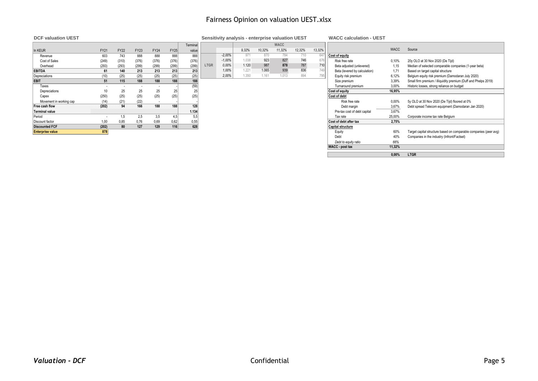## Fairness Opinion on valuation UEST.xlsx

**DCF valuation UEST Sensitivity analysis - enterprise valuation UEST WACC calculation - UEST**

|                         |             |             |             |             |             | Terminal |             |          |       |        | <b>WACC</b> |        |        |                               |             |                                                                 |
|-------------------------|-------------|-------------|-------------|-------------|-------------|----------|-------------|----------|-------|--------|-------------|--------|--------|-------------------------------|-------------|-----------------------------------------------------------------|
| In KEUR                 | <b>FY21</b> | <b>FY22</b> | <b>FY23</b> | <b>FY24</b> | <b>FY25</b> | value    |             |          | 9.32% | 10,32% | 11,32%      | 12,32% | 13,32% |                               | <b>WACC</b> | Source                                                          |
| Revenue                 | 603         | 743         | 888         | 888         | 888         | 888      |             | $-2,00%$ | 971   | 870    | 784         | 710    | 647    | Cost of equity                |             |                                                                 |
| Cost of Sales           | (249)       | (310)       | (376)       | (376)       | (376)       | (376)    |             | $-1.00%$ | .038  | 923    | 827         | 746    | 676    | Risk free rate                | 0.10%       | 20y OLO at 30 Nov 2020 (De Tijd)                                |
| Overhead                | (293)       | (293)       | (299)       | (299)       | (299)       | (299)    | <b>LTGR</b> | 0.00%    | 1.120 | 987    | 878         | 787    | 710    | Beta adjusted (unlevered)     | 1,15        | Median of selected comparable companies (1-year beta)           |
| <b>EBITDA</b>           | 61          | 140         | 213         | 213         | 213         | 213      |             | 1.00%    | 1.221 | 1.065  | 939         | 836    |        | Beta (levered by calculation) | 1.71        | Based on target capital structure                               |
| Depreciations           | (10)        | (25)        | (25)        | (25)        | (25)        | (25)     |             | 2.00%    | 1.350 | 1.161  | 1.013       | 894    | 795    | Equity risk premium           | 6,12%       | Belgium equity risk premium (Damodaran July 2020)               |
| <b>EBIT</b>             | 51          | 115         | 188         | 188         | 188         | 188      |             |          |       |        |             |        |        | Size premium                  | 3,39%       | Small firm premium / illiquidity premium (Duff and Phelps 2019) |
| Taxes                   | $\sim$      |             |             |             |             | (59)     |             |          |       |        |             |        |        | Turnaround premium            | 3.00%       | Historic losses, strong reliance on budget                      |
| Depreciations           |             | 25          | 25          | 25          | 25          | 25       |             |          |       |        |             |        |        | Cost of equity                | 16.95%      |                                                                 |
| Capex                   | (250)       | (25)        | (25)        | (25)        | (25)        | (25)     |             |          |       |        |             |        |        | Cost of debt                  |             |                                                                 |
| Movement in working cap | (14)        | (21)        | (22)        |             |             |          |             |          |       |        |             |        |        | Risk free rate                | 0,00%       | 5y OLO at 30 Nov 2020 (De Tijd) floored at 0%                   |
| Free cash flow          | (202)       | 94          | 166         | 188         | 188         | 128      |             |          |       |        |             |        |        | Debt margin                   | 3,67%       | Debt spread Telecom equipment (Damodaran Jan 2020)              |
| Terminal value          |             |             |             |             |             | 1.134    |             |          |       |        |             |        |        | Pre-tax cost of debt capital  | 3.67%       |                                                                 |
| Period                  |             | 1.5         | 2,5         | 3,5         |             | 5,5      |             |          |       |        |             |        |        | Tax rate                      | 25,00%      | Corporate income tax rate Belgium                               |
| Discount factor         | 1,00        | 0,85        | 0,76        | 0,69        | 0,62        | 0,55     |             |          |       |        |             |        |        | Cost of debt after tax        | 2.75%       |                                                                 |
| <b>Discounted FCF</b>   | (202)       | 80          | 127         | 129         | 116         | 628      |             |          |       |        |             |        |        | <b>Capital structure</b>      |             |                                                                 |
| <b>Enterprise value</b> | 878         |             |             |             |             |          |             |          |       |        |             |        |        | Eauity                        | 60%         | Target capital structure based on comparable companies (peer    |

| Terminal |             |          |       |        | <b>WACC</b> |        |        |
|----------|-------------|----------|-------|--------|-------------|--------|--------|
| value    |             |          | 9.32% | 10.32% | 11.32%      | 12.32% | 13,32% |
| 888      |             | $-2,00%$ | 971   | 870    | 784         | 710    | 647    |
| (376)    |             | $-1,00%$ | 1.038 | 923    | 827         | 746    | 676    |
| (299)    | <b>LTGR</b> | 0.00%    | 1.120 | 987    | 878         | 787    | 710    |
| 213      |             | 1.00%    | 1.221 | 1.065  | 939         | 836    | 749    |
| (25)     |             | 2,00%    | 1.350 | 1.161  | 1.013       | 894    | 795    |
| $ -$     |             |          |       |        |             |        |        |

|                         |       |             |             |             |             | Terminal |             |          |       |        | <b>WACC</b> |        |        |                               |             |                                                                   |
|-------------------------|-------|-------------|-------------|-------------|-------------|----------|-------------|----------|-------|--------|-------------|--------|--------|-------------------------------|-------------|-------------------------------------------------------------------|
| In KEUR                 | FY21  | <b>FY22</b> | <b>FY23</b> | <b>FY24</b> | <b>FY25</b> | value    |             |          | 9.32% | 10,32% | 11,32%      | 12,32% | 13,32% |                               | <b>WACC</b> | Source                                                            |
| Revenue                 | 603   | 743         | 888         | 888         | 888         | 888      |             | $-2,00%$ | 971   | 870    | 784         | 710    | 64     | Cost of equity                |             |                                                                   |
| Cost of Sales           | (249) | (310)       | (376)       | (376)       | (376)       | (376)    |             | $-1,00%$ | 1.038 | 923    | 827         | 746    | 676    | Risk free rate                | 0.10%       | 20y OLO at 30 Nov 2020 (De Tijd)                                  |
| Overhead                | (293) | (293)       | (299)       | (299)       | (299)       | (299)    | <b>LTGR</b> | 0.00%    | 1.120 | 987    | 878         | 787    | 710    | Beta adjusted (unlevered)     | 1,15        | Median of selected comparable companies (1-year beta)             |
| EBITDA                  | 61    | 140         | 213         | 213         | 213         | 213      |             | 1.00%    | 1.221 | 1.065  | 939         | 836    | 749    | Beta (levered by calculation) | 1,71        | Based on target capital structure                                 |
| Depreciations           | (10)  | (25)        | (25)        | (25)        | (25)        | (25)     |             | 2,00%    | 1.350 | 1.161  | 1.013       | 894    | 795    | Equity risk premium           | 6,12%       | Belgium equity risk premium (Damodaran July 2020)                 |
| EBIT                    | 51    | 115         | 188         | 188         | 188         | 188      |             |          |       |        |             |        |        | Size premium                  | 3,39%       | Small firm premium / illiquidity premium (Duff and Phelps 2019)   |
| Taxes                   |       |             |             |             |             | (59)     |             |          |       |        |             |        |        | Turnaround premium            | 3,00%       | Historic losses, strong reliance on budget                        |
| Depreciations           |       | 25          | 25          | 25          | 25          |          |             |          |       |        |             |        |        | Cost of equity                | 16.95%      |                                                                   |
| Capex                   | (250) | (25)        | (25)        | (25)        | (25)        | (25)     |             |          |       |        |             |        |        | Cost of debt                  |             |                                                                   |
| Movement in working cap | (14)  | (21)        | (22)        |             |             |          |             |          |       |        |             |        |        | Risk free rate                | 0,00%       | 5y OLO at 30 Nov 2020 (De Tijd) floored at 0%                     |
| Free cash flow          | (202) | 94          | 166         | 188         | 188         | 128      |             |          |       |        |             |        |        | Debt margin                   | 3,67%       | Debt spread Telecom equipment (Damodaran Jan 2020)                |
| Terminal value          |       |             |             |             |             | 1.134    |             |          |       |        |             |        |        | Pre-tax cost of debt capital  | 3,67%       |                                                                   |
| Period                  |       | 1,5         | 2,5         | 3,5         | 4,5         | 5,5      |             |          |       |        |             |        |        | Tax rate                      | 25,00%      | Corporate income tax rate Belgium                                 |
| Discount factor         | 1,00  | 0,85        | 0,76        | 0,69        | 0,62        | 0,55     |             |          |       |        |             |        |        | Cost of debt after tax        | 2.75%       |                                                                   |
| Discounted FCF          | (202) | 80          | 127         | 129         | 116         | 628      |             |          |       |        |             |        |        | <b>Capital structure</b>      |             |                                                                   |
| <b>Enterprise value</b> | 878   |             |             |             |             |          |             |          |       |        |             |        |        | Equity                        | 60%         | Target capital structure based on comparable companies (peer avg) |
|                         |       |             |             |             |             |          |             |          |       |        |             |        |        | Debt                          | 40%         | Companies in the industry (Infront/Factset)                       |
|                         |       |             |             |             |             |          |             |          |       |        |             |        |        | Debt to equity ratio          | 66%         |                                                                   |
|                         |       |             |             |             |             |          |             |          |       |        |             |        |        | <b>WACC</b> - post tax        | 11,32%      |                                                                   |
|                         |       |             |             |             |             |          |             |          |       |        |             |        |        |                               | 0.00%       | <b>LTGR</b>                                                       |
|                         |       |             |             |             |             |          |             |          |       |        |             |        |        |                               |             |                                                                   |